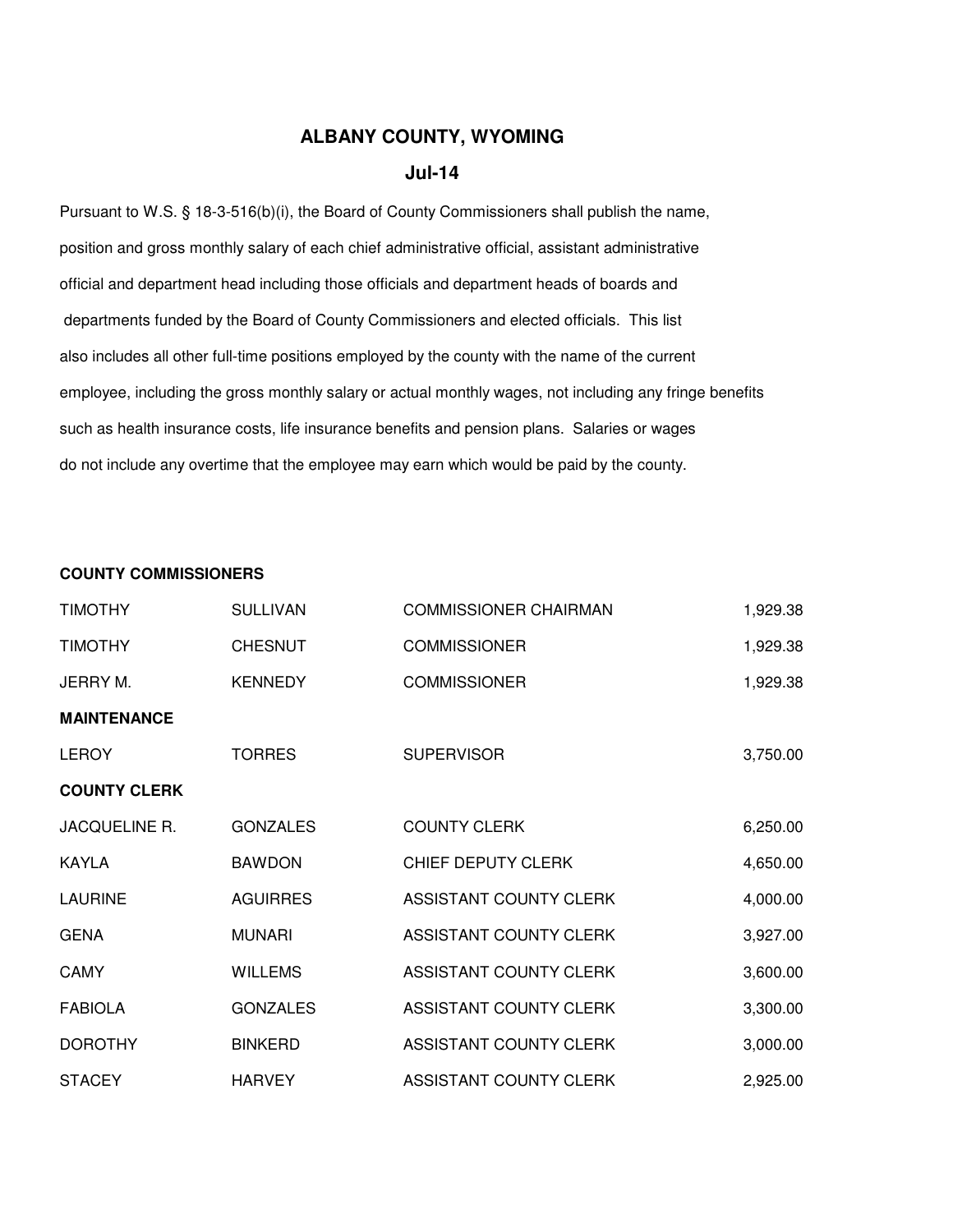## **ALBANY COUNTY, WYOMING**

## **Jul-14**

Pursuant to W.S. § 18-3-516(b)(i), the Board of County Commissioners shall publish the name, position and gross monthly salary of each chief administrative official, assistant administrative official and department head including those officials and department heads of boards and departments funded by the Board of County Commissioners and elected officials. This list also includes all other full-time positions employed by the county with the name of the current employee, including the gross monthly salary or actual monthly wages, not including any fringe benefits such as health insurance costs, life insurance benefits and pension plans. Salaries or wages do not include any overtime that the employee may earn which would be paid by the county.

## **COUNTY COMMISSIONERS**

| <b>TIMOTHY</b>      | <b>SULLIVAN</b> | <b>COMMISSIONER CHAIRMAN</b> | 1,929.38 |
|---------------------|-----------------|------------------------------|----------|
| <b>TIMOTHY</b>      | <b>CHESNUT</b>  | <b>COMMISSIONER</b>          | 1,929.38 |
| JERRY M.            | <b>KENNEDY</b>  | <b>COMMISSIONER</b>          | 1,929.38 |
| <b>MAINTENANCE</b>  |                 |                              |          |
| <b>LEROY</b>        | <b>TORRES</b>   | <b>SUPERVISOR</b>            | 3,750.00 |
| <b>COUNTY CLERK</b> |                 |                              |          |
| JACQUELINE R.       | <b>GONZALES</b> | <b>COUNTY CLERK</b>          | 6,250.00 |
| <b>KAYLA</b>        | <b>BAWDON</b>   | CHIEF DEPUTY CLERK           | 4,650.00 |
| <b>LAURINE</b>      | <b>AGUIRRES</b> | ASSISTANT COUNTY CLERK       | 4,000.00 |
| <b>GENA</b>         | <b>MUNARI</b>   | ASSISTANT COUNTY CLERK       | 3,927.00 |
| CAMY                | <b>WILLEMS</b>  | ASSISTANT COUNTY CLERK       | 3,600.00 |
| <b>FABIOLA</b>      | <b>GONZALES</b> | ASSISTANT COUNTY CLERK       | 3,300.00 |
| <b>DOROTHY</b>      | <b>BINKERD</b>  | ASSISTANT COUNTY CLERK       | 3,000.00 |
| <b>STACEY</b>       | <b>HARVEY</b>   | ASSISTANT COUNTY CLERK       | 2,925.00 |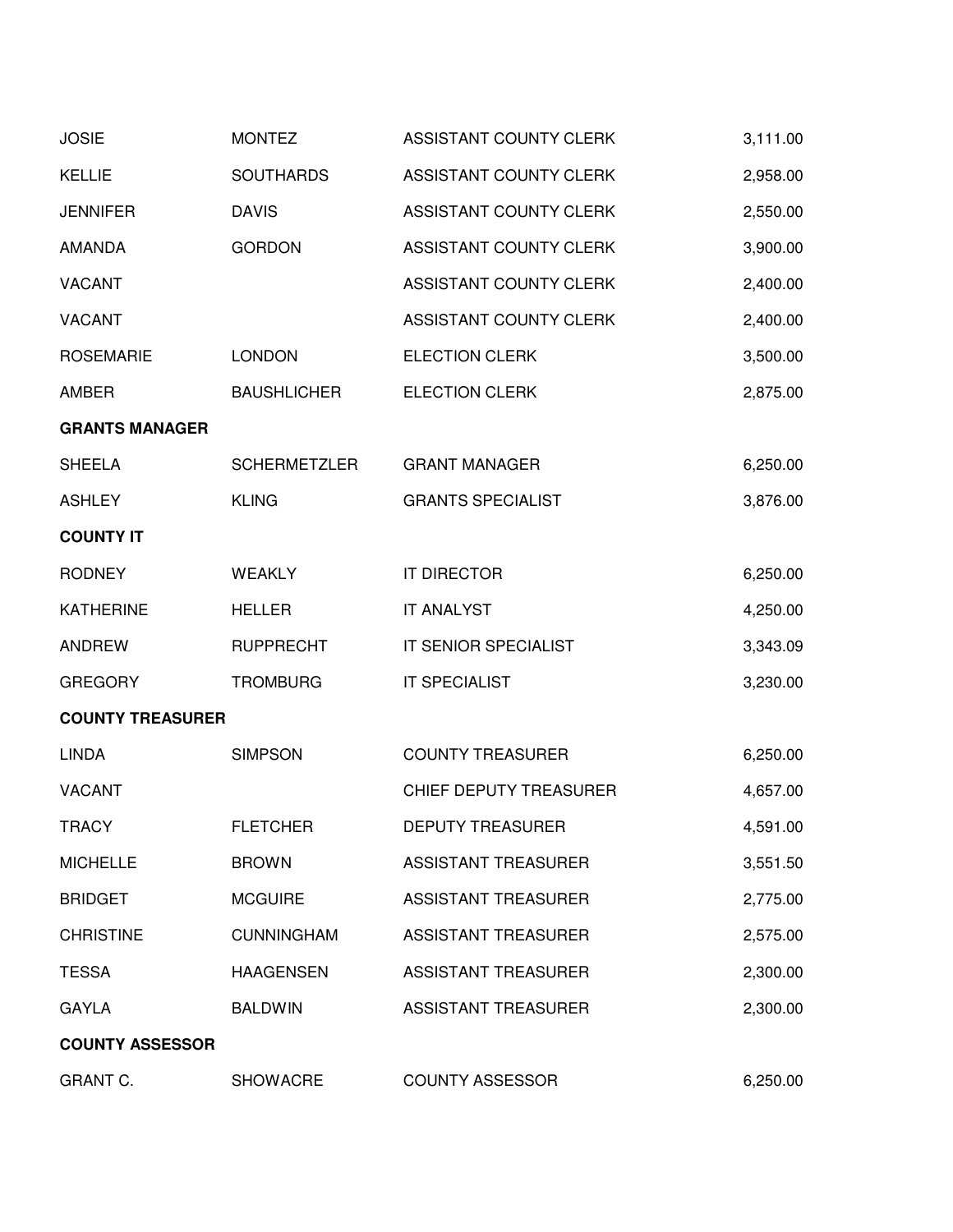| <b>JOSIE</b>            | <b>MONTEZ</b>       | ASSISTANT COUNTY CLERK     | 3,111.00 |
|-------------------------|---------------------|----------------------------|----------|
| <b>KELLIE</b>           | <b>SOUTHARDS</b>    | ASSISTANT COUNTY CLERK     | 2,958.00 |
| <b>JENNIFER</b>         | <b>DAVIS</b>        | ASSISTANT COUNTY CLERK     | 2,550.00 |
| <b>AMANDA</b>           | <b>GORDON</b>       | ASSISTANT COUNTY CLERK     | 3,900.00 |
| <b>VACANT</b>           |                     | ASSISTANT COUNTY CLERK     | 2,400.00 |
| <b>VACANT</b>           |                     | ASSISTANT COUNTY CLERK     | 2,400.00 |
| <b>ROSEMARIE</b>        | <b>LONDON</b>       | <b>ELECTION CLERK</b>      | 3,500.00 |
| <b>AMBER</b>            | <b>BAUSHLICHER</b>  | <b>ELECTION CLERK</b>      | 2,875.00 |
| <b>GRANTS MANAGER</b>   |                     |                            |          |
| <b>SHEELA</b>           | <b>SCHERMETZLER</b> | <b>GRANT MANAGER</b>       | 6,250.00 |
| <b>ASHLEY</b>           | <b>KLING</b>        | <b>GRANTS SPECIALIST</b>   | 3,876.00 |
| <b>COUNTY IT</b>        |                     |                            |          |
| <b>RODNEY</b>           | <b>WEAKLY</b>       | <b>IT DIRECTOR</b>         | 6,250.00 |
| <b>KATHERINE</b>        | <b>HELLER</b>       | <b>IT ANALYST</b>          | 4,250.00 |
| <b>ANDREW</b>           | <b>RUPPRECHT</b>    | IT SENIOR SPECIALIST       | 3,343.09 |
| <b>GREGORY</b>          | <b>TROMBURG</b>     | <b>IT SPECIALIST</b>       | 3,230.00 |
| <b>COUNTY TREASURER</b> |                     |                            |          |
| <b>LINDA</b>            | <b>SIMPSON</b>      | <b>COUNTY TREASURER</b>    | 6,250.00 |
| <b>VACANT</b>           |                     | CHIEF DEPUTY TREASURER     | 4,657.00 |
| <b>TRACY</b>            | <b>FLETCHER</b>     | <b>DEPUTY TREASURER</b>    | 4,591.00 |
| <b>MICHELLE</b>         | <b>BROWN</b>        | <b>ASSISTANT TREASURER</b> | 3,551.50 |
| <b>BRIDGET</b>          | <b>MCGUIRE</b>      | <b>ASSISTANT TREASURER</b> | 2,775.00 |
| <b>CHRISTINE</b>        | <b>CUNNINGHAM</b>   | <b>ASSISTANT TREASURER</b> | 2,575.00 |
| <b>TESSA</b>            | <b>HAAGENSEN</b>    | <b>ASSISTANT TREASURER</b> | 2,300.00 |
| <b>GAYLA</b>            | <b>BALDWIN</b>      | <b>ASSISTANT TREASURER</b> | 2,300.00 |
| <b>COUNTY ASSESSOR</b>  |                     |                            |          |
| GRANT C.                | <b>SHOWACRE</b>     | <b>COUNTY ASSESSOR</b>     | 6,250.00 |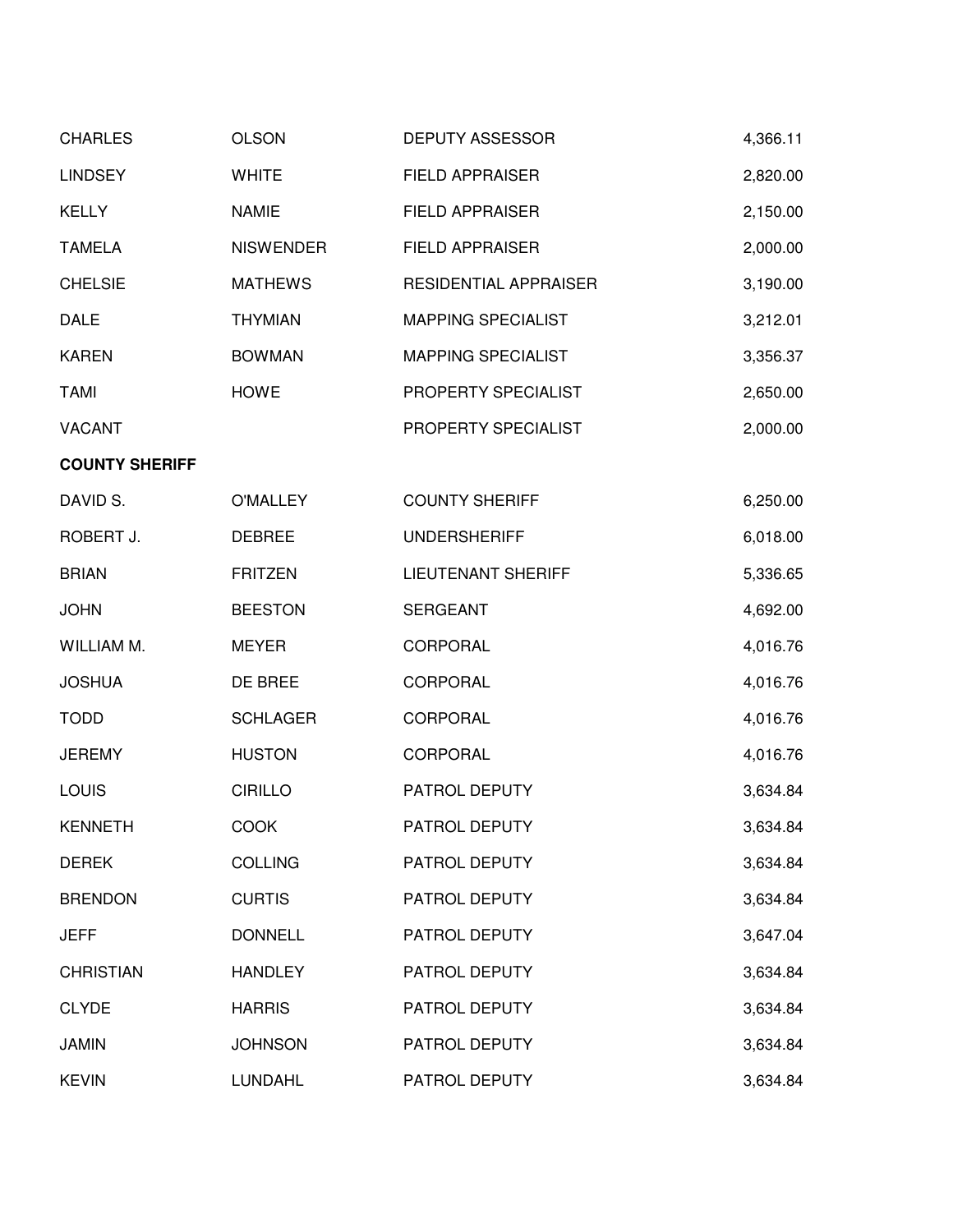| <b>CHARLES</b>        | <b>OLSON</b>     | <b>DEPUTY ASSESSOR</b>       | 4,366.11 |
|-----------------------|------------------|------------------------------|----------|
| <b>LINDSEY</b>        | <b>WHITE</b>     | <b>FIELD APPRAISER</b>       | 2,820.00 |
| <b>KELLY</b>          | <b>NAMIE</b>     | <b>FIELD APPRAISER</b>       | 2,150.00 |
| <b>TAMELA</b>         | <b>NISWENDER</b> | <b>FIELD APPRAISER</b>       | 2,000.00 |
| <b>CHELSIE</b>        | <b>MATHEWS</b>   | <b>RESIDENTIAL APPRAISER</b> | 3,190.00 |
| <b>DALE</b>           | <b>THYMIAN</b>   | <b>MAPPING SPECIALIST</b>    | 3,212.01 |
| <b>KAREN</b>          | <b>BOWMAN</b>    | <b>MAPPING SPECIALIST</b>    | 3,356.37 |
| <b>TAMI</b>           | <b>HOWE</b>      | PROPERTY SPECIALIST          | 2,650.00 |
| <b>VACANT</b>         |                  | PROPERTY SPECIALIST          | 2,000.00 |
| <b>COUNTY SHERIFF</b> |                  |                              |          |
| DAVID S.              | <b>O'MALLEY</b>  | <b>COUNTY SHERIFF</b>        | 6,250.00 |
| ROBERT J.             | <b>DEBREE</b>    | <b>UNDERSHERIFF</b>          | 6,018.00 |
| <b>BRIAN</b>          | <b>FRITZEN</b>   | <b>LIEUTENANT SHERIFF</b>    | 5,336.65 |
| <b>JOHN</b>           | <b>BEESTON</b>   | <b>SERGEANT</b>              | 4,692.00 |
| WILLIAM M.            | <b>MEYER</b>     | CORPORAL                     | 4,016.76 |
| <b>JOSHUA</b>         | DE BREE          | <b>CORPORAL</b>              | 4,016.76 |
| <b>TODD</b>           | <b>SCHLAGER</b>  | CORPORAL                     | 4,016.76 |
| <b>JEREMY</b>         | <b>HUSTON</b>    | <b>CORPORAL</b>              | 4,016.76 |
| LOUIS                 | <b>CIRILLO</b>   | PATROL DEPUTY                | 3,634.84 |
| <b>KENNETH</b>        | <b>COOK</b>      | PATROL DEPUTY                | 3,634.84 |
| <b>DEREK</b>          | <b>COLLING</b>   | PATROL DEPUTY                | 3,634.84 |
| <b>BRENDON</b>        | <b>CURTIS</b>    | PATROL DEPUTY                | 3,634.84 |
| <b>JEFF</b>           | <b>DONNELL</b>   | PATROL DEPUTY                | 3,647.04 |
| <b>CHRISTIAN</b>      | <b>HANDLEY</b>   | PATROL DEPUTY                | 3,634.84 |
| <b>CLYDE</b>          | <b>HARRIS</b>    | PATROL DEPUTY                | 3,634.84 |
| <b>JAMIN</b>          | <b>JOHNSON</b>   | PATROL DEPUTY                | 3,634.84 |
| <b>KEVIN</b>          | LUNDAHL          | PATROL DEPUTY                | 3,634.84 |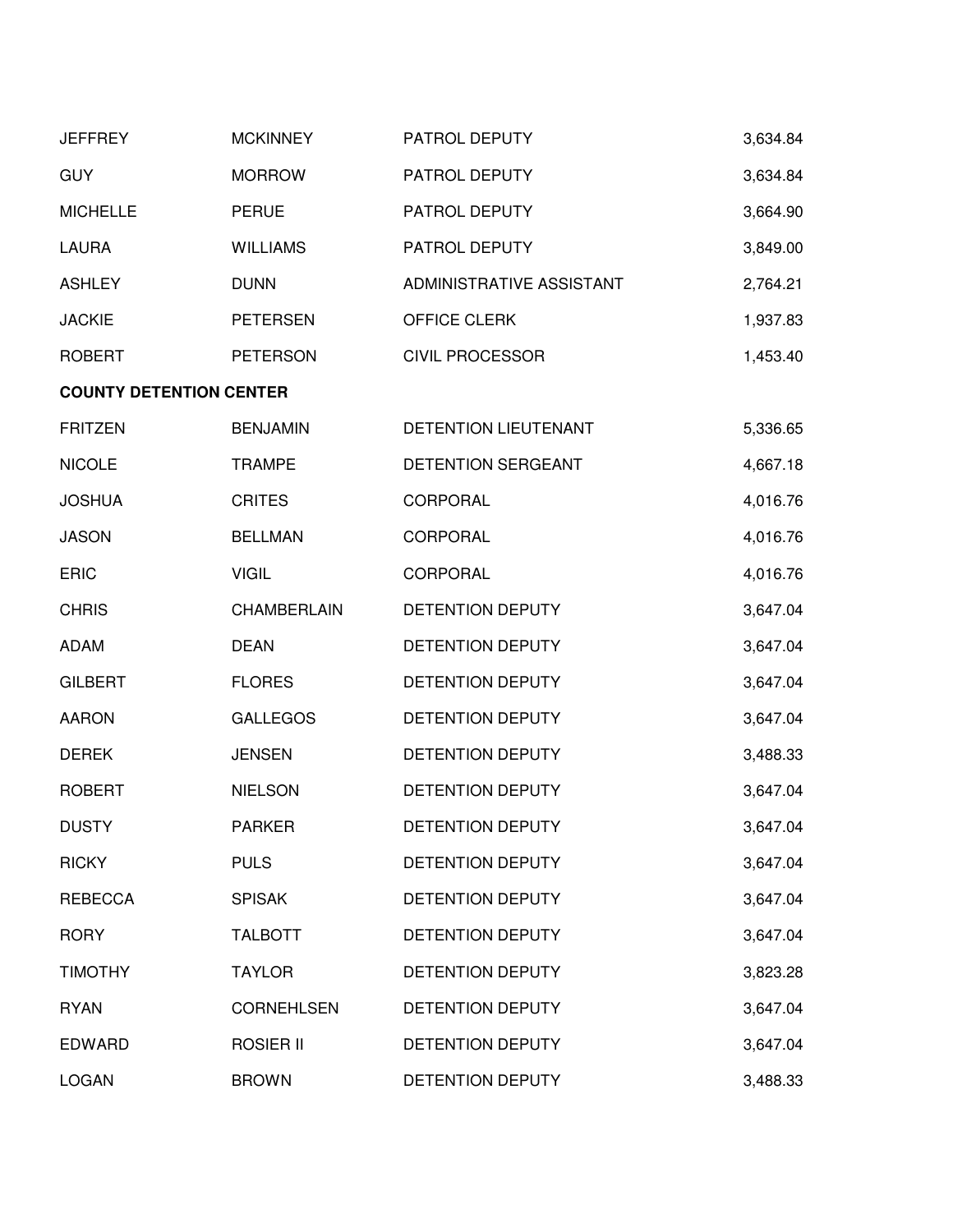| <b>JEFFREY</b>                 | <b>MCKINNEY</b>    | PATROL DEPUTY            | 3,634.84 |
|--------------------------------|--------------------|--------------------------|----------|
| <b>GUY</b>                     | <b>MORROW</b>      | PATROL DEPUTY            | 3,634.84 |
| <b>MICHELLE</b>                | <b>PERUE</b>       | PATROL DEPUTY            | 3,664.90 |
| <b>LAURA</b>                   | <b>WILLIAMS</b>    | PATROL DEPUTY            | 3,849.00 |
| <b>ASHLEY</b>                  | <b>DUNN</b>        | ADMINISTRATIVE ASSISTANT | 2,764.21 |
| <b>JACKIE</b>                  | <b>PETERSEN</b>    | OFFICE CLERK             | 1,937.83 |
| <b>ROBERT</b>                  | <b>PETERSON</b>    | <b>CIVIL PROCESSOR</b>   | 1,453.40 |
| <b>COUNTY DETENTION CENTER</b> |                    |                          |          |
| <b>FRITZEN</b>                 | <b>BENJAMIN</b>    | DETENTION LIEUTENANT     | 5,336.65 |
| <b>NICOLE</b>                  | <b>TRAMPE</b>      | DETENTION SERGEANT       | 4,667.18 |
| <b>JOSHUA</b>                  | <b>CRITES</b>      | CORPORAL                 | 4,016.76 |
| <b>JASON</b>                   | <b>BELLMAN</b>     | <b>CORPORAL</b>          | 4,016.76 |
| ERIC                           | <b>VIGIL</b>       | CORPORAL                 | 4,016.76 |
| <b>CHRIS</b>                   | <b>CHAMBERLAIN</b> | DETENTION DEPUTY         | 3,647.04 |
| <b>ADAM</b>                    | <b>DEAN</b>        | DETENTION DEPUTY         | 3,647.04 |
| <b>GILBERT</b>                 | <b>FLORES</b>      | DETENTION DEPUTY         | 3,647.04 |
| <b>AARON</b>                   | <b>GALLEGOS</b>    | DETENTION DEPUTY         | 3,647.04 |
| <b>DEREK</b>                   | <b>JENSEN</b>      | DETENTION DEPUTY         | 3,488.33 |
| <b>ROBERT</b>                  | <b>NIELSON</b>     | DETENTION DEPUTY         | 3,647.04 |
| <b>DUSTY</b>                   | <b>PARKER</b>      | DETENTION DEPUTY         | 3,647.04 |
| <b>RICKY</b>                   | <b>PULS</b>        | DETENTION DEPUTY         | 3,647.04 |
| <b>REBECCA</b>                 | <b>SPISAK</b>      | DETENTION DEPUTY         | 3,647.04 |
| <b>RORY</b>                    | <b>TALBOTT</b>     | DETENTION DEPUTY         | 3,647.04 |
| <b>TIMOTHY</b>                 | <b>TAYLOR</b>      | <b>DETENTION DEPUTY</b>  | 3,823.28 |
| <b>RYAN</b>                    | <b>CORNEHLSEN</b>  | <b>DETENTION DEPUTY</b>  | 3,647.04 |
| <b>EDWARD</b>                  | ROSIER II          | DETENTION DEPUTY         | 3,647.04 |
| <b>LOGAN</b>                   | <b>BROWN</b>       | DETENTION DEPUTY         | 3,488.33 |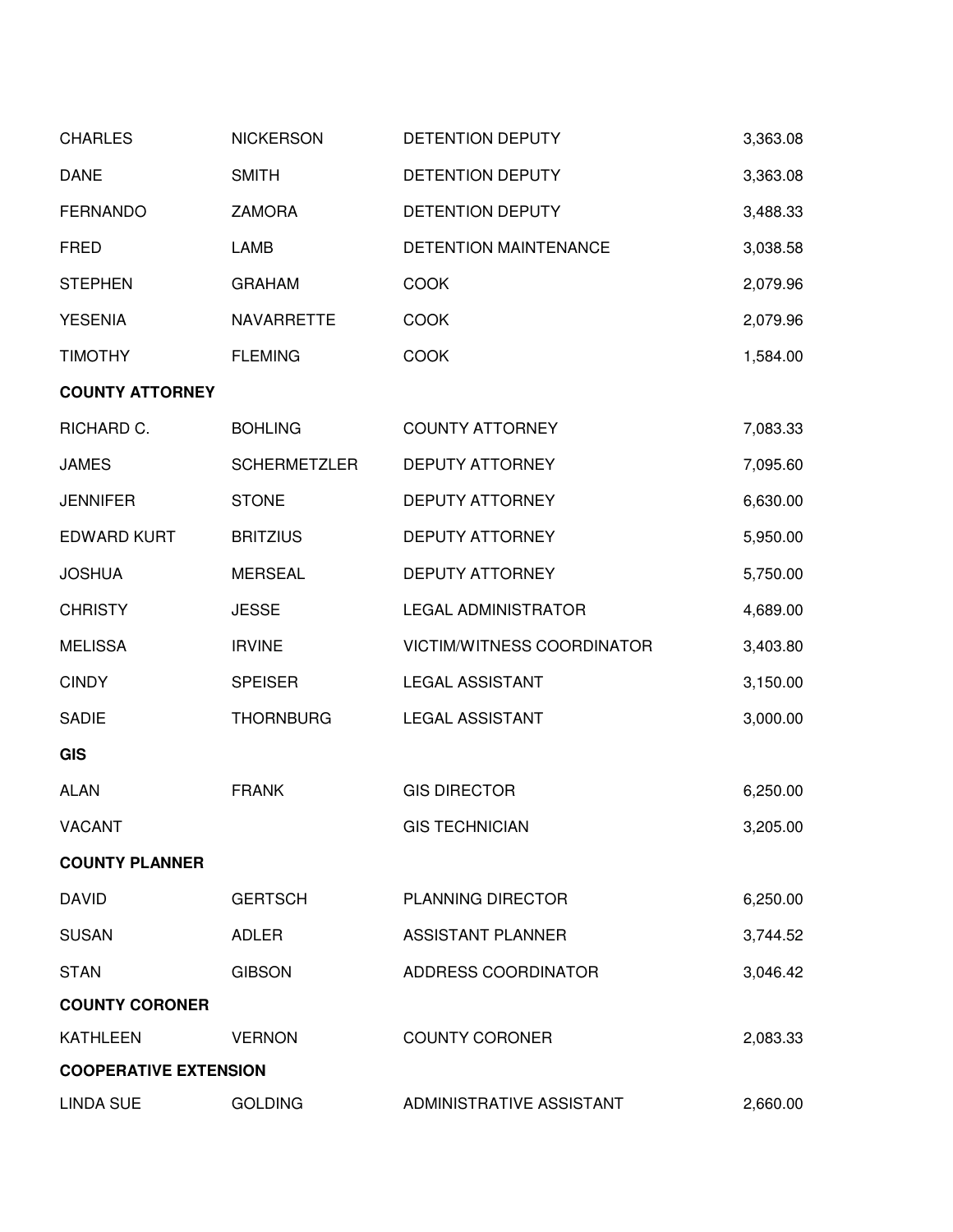| <b>CHARLES</b>               | <b>NICKERSON</b>    | DETENTION DEPUTY           | 3,363.08 |
|------------------------------|---------------------|----------------------------|----------|
| <b>DANE</b>                  | <b>SMITH</b>        | DETENTION DEPUTY           | 3,363.08 |
| <b>FERNANDO</b>              | ZAMORA              | DETENTION DEPUTY           | 3,488.33 |
| <b>FRED</b>                  | LAMB                | DETENTION MAINTENANCE      | 3,038.58 |
| <b>STEPHEN</b>               | <b>GRAHAM</b>       | <b>COOK</b>                | 2,079.96 |
| <b>YESENIA</b>               | NAVARRETTE          | <b>COOK</b>                | 2,079.96 |
| <b>TIMOTHY</b>               | <b>FLEMING</b>      | COOK                       | 1,584.00 |
| <b>COUNTY ATTORNEY</b>       |                     |                            |          |
| RICHARD C.                   | <b>BOHLING</b>      | <b>COUNTY ATTORNEY</b>     | 7,083.33 |
| <b>JAMES</b>                 | <b>SCHERMETZLER</b> | DEPUTY ATTORNEY            | 7,095.60 |
| <b>JENNIFER</b>              | <b>STONE</b>        | <b>DEPUTY ATTORNEY</b>     | 6,630.00 |
| <b>EDWARD KURT</b>           | <b>BRITZIUS</b>     | <b>DEPUTY ATTORNEY</b>     | 5,950.00 |
| <b>JOSHUA</b>                | <b>MERSEAL</b>      | <b>DEPUTY ATTORNEY</b>     | 5,750.00 |
| <b>CHRISTY</b>               | <b>JESSE</b>        | <b>LEGAL ADMINISTRATOR</b> | 4,689.00 |
| <b>MELISSA</b>               | <b>IRVINE</b>       | VICTIM/WITNESS COORDINATOR | 3,403.80 |
| <b>CINDY</b>                 | <b>SPEISER</b>      | <b>LEGAL ASSISTANT</b>     | 3,150.00 |
| <b>SADIE</b>                 | <b>THORNBURG</b>    | <b>LEGAL ASSISTANT</b>     | 3,000.00 |
| <b>GIS</b>                   |                     |                            |          |
| <b>ALAN</b>                  | <b>FRANK</b>        | <b>GIS DIRECTOR</b>        | 6,250.00 |
| <b>VACANT</b>                |                     | <b>GIS TECHNICIAN</b>      | 3,205.00 |
| <b>COUNTY PLANNER</b>        |                     |                            |          |
| <b>DAVID</b>                 | <b>GERTSCH</b>      | PLANNING DIRECTOR          | 6,250.00 |
| <b>SUSAN</b>                 | <b>ADLER</b>        | <b>ASSISTANT PLANNER</b>   | 3,744.52 |
| <b>STAN</b>                  | <b>GIBSON</b>       | ADDRESS COORDINATOR        | 3,046.42 |
| <b>COUNTY CORONER</b>        |                     |                            |          |
| <b>KATHLEEN</b>              | <b>VERNON</b>       | <b>COUNTY CORONER</b>      | 2,083.33 |
| <b>COOPERATIVE EXTENSION</b> |                     |                            |          |
| <b>LINDA SUE</b>             | <b>GOLDING</b>      | ADMINISTRATIVE ASSISTANT   | 2,660.00 |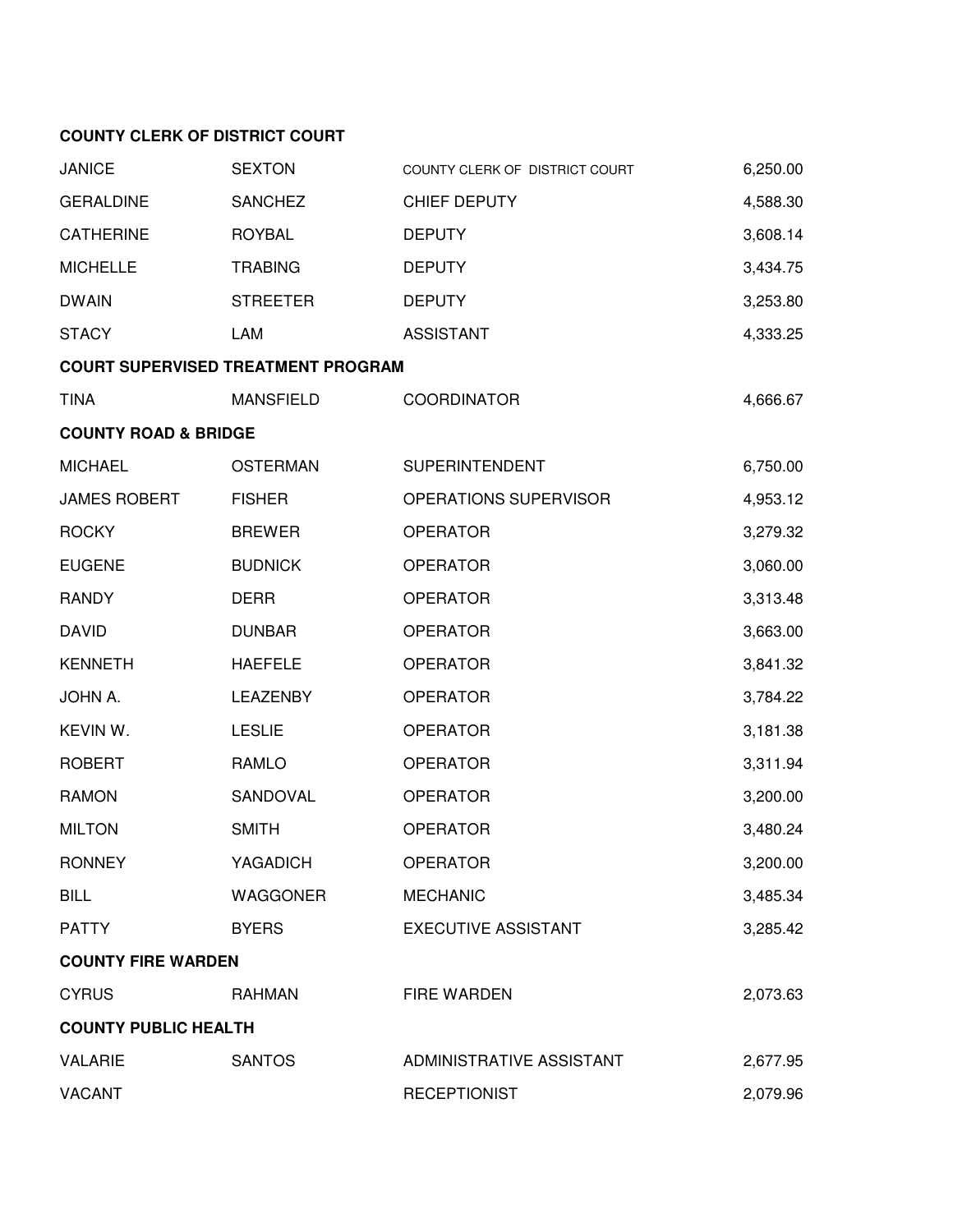## **COUNTY CLERK OF DISTRICT COURT**

| <b>JANICE</b>                   | <b>SEXTON</b>                             | COUNTY CLERK OF DISTRICT COURT | 6,250.00 |
|---------------------------------|-------------------------------------------|--------------------------------|----------|
| <b>GERALDINE</b>                | <b>SANCHEZ</b>                            | CHIEF DEPUTY                   | 4,588.30 |
| <b>CATHERINE</b>                | <b>ROYBAL</b>                             | <b>DEPUTY</b>                  | 3,608.14 |
| <b>MICHELLE</b>                 | <b>TRABING</b>                            | <b>DEPUTY</b>                  | 3,434.75 |
| <b>DWAIN</b>                    | <b>STREETER</b>                           | <b>DEPUTY</b>                  | 3,253.80 |
| <b>STACY</b>                    | LAM                                       | <b>ASSISTANT</b>               | 4,333.25 |
|                                 | <b>COURT SUPERVISED TREATMENT PROGRAM</b> |                                |          |
| <b>TINA</b>                     | <b>MANSFIELD</b>                          | <b>COORDINATOR</b>             | 4,666.67 |
| <b>COUNTY ROAD &amp; BRIDGE</b> |                                           |                                |          |
| <b>MICHAEL</b>                  | <b>OSTERMAN</b>                           | <b>SUPERINTENDENT</b>          | 6,750.00 |
| <b>JAMES ROBERT</b>             | <b>FISHER</b>                             | OPERATIONS SUPERVISOR          | 4,953.12 |
| <b>ROCKY</b>                    | <b>BREWER</b>                             | <b>OPERATOR</b>                | 3,279.32 |
| <b>EUGENE</b>                   | <b>BUDNICK</b>                            | <b>OPERATOR</b>                | 3,060.00 |
| <b>RANDY</b>                    | <b>DERR</b>                               | <b>OPERATOR</b>                | 3,313.48 |
| <b>DAVID</b>                    | <b>DUNBAR</b>                             | <b>OPERATOR</b>                | 3,663.00 |
| <b>KENNETH</b>                  | <b>HAEFELE</b>                            | <b>OPERATOR</b>                | 3,841.32 |
| JOHN A.                         | LEAZENBY                                  | <b>OPERATOR</b>                | 3,784.22 |
| KEVIN W.                        | <b>LESLIE</b>                             | <b>OPERATOR</b>                | 3,181.38 |
| <b>ROBERT</b>                   | RAMLO                                     | <b>OPERATOR</b>                | 3,311.94 |
| <b>RAMON</b>                    | SANDOVAL                                  | <b>OPERATOR</b>                | 3,200.00 |
| <b>MILTON</b>                   | <b>SMITH</b>                              | <b>OPERATOR</b>                | 3,480.24 |
| <b>RONNEY</b>                   | YAGADICH                                  | <b>OPERATOR</b>                | 3,200.00 |
| <b>BILL</b>                     | WAGGONER                                  | <b>MECHANIC</b>                | 3,485.34 |
| <b>PATTY</b>                    | <b>BYERS</b>                              | <b>EXECUTIVE ASSISTANT</b>     | 3,285.42 |
| <b>COUNTY FIRE WARDEN</b>       |                                           |                                |          |
| <b>CYRUS</b>                    | <b>RAHMAN</b>                             | <b>FIRE WARDEN</b>             | 2,073.63 |
| <b>COUNTY PUBLIC HEALTH</b>     |                                           |                                |          |
| <b>VALARIE</b>                  | <b>SANTOS</b>                             | ADMINISTRATIVE ASSISTANT       | 2,677.95 |
| <b>VACANT</b>                   |                                           | <b>RECEPTIONIST</b>            | 2,079.96 |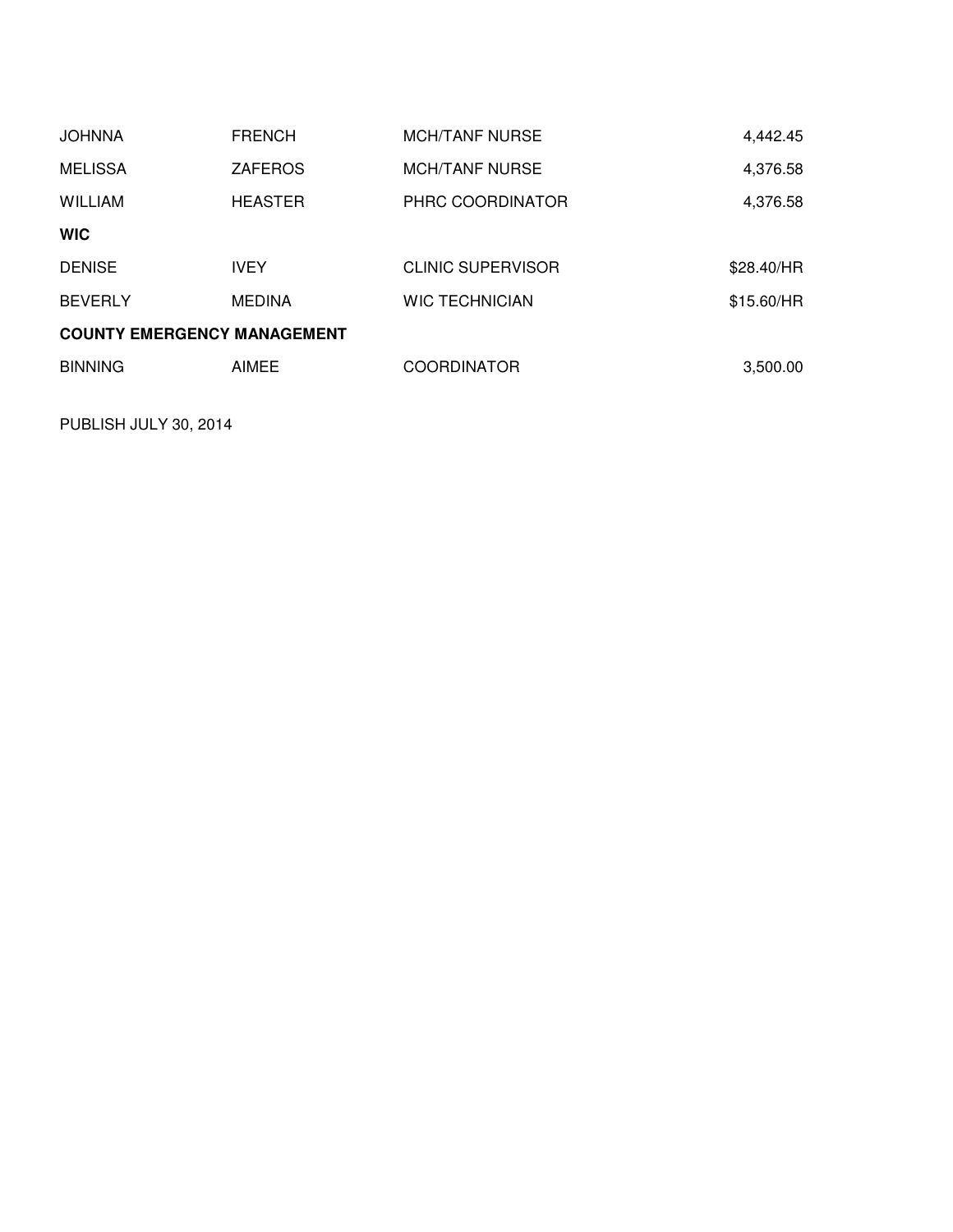| <b>JOHNNA</b>                      | <b>FRENCH</b>  | <b>MCH/TANF NURSE</b>    | 4,442.45   |
|------------------------------------|----------------|--------------------------|------------|
| <b>MELISSA</b>                     | <b>ZAFEROS</b> | <b>MCH/TANF NURSE</b>    | 4,376.58   |
| <b>WILLIAM</b>                     | <b>HEASTER</b> | PHRC COORDINATOR         | 4,376.58   |
| <b>WIC</b>                         |                |                          |            |
| <b>DENISE</b>                      | <b>IVEY</b>    | <b>CLINIC SUPERVISOR</b> | \$28.40/HR |
| <b>BEVERLY</b>                     | <b>MEDINA</b>  | <b>WIC TECHNICIAN</b>    | \$15.60/HR |
| <b>COUNTY EMERGENCY MANAGEMENT</b> |                |                          |            |
| <b>BINNING</b>                     | AIMEE          | <b>COORDINATOR</b>       | 3,500.00   |

PUBLISH JULY 30, 2014